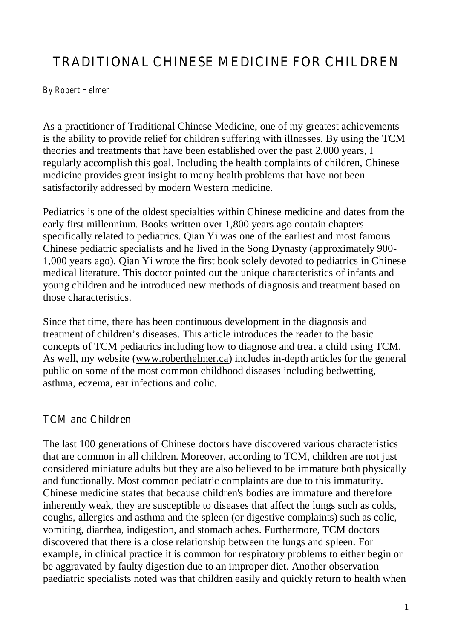# TRADITIONAL CHINESE MEDICINE FOR CHILDREN

#### *By Robert Helmer*

As a practitioner of Traditional Chinese Medicine, one of my greatest achievements is the ability to provide relief for children suffering with illnesses. By using the TCM theories and treatments that have been established over the past 2,000 years, I regularly accomplish this goal. Including the health complaints of children, Chinese medicine provides great insight to many health problems that have not been satisfactorily addressed by modern Western medicine.

Pediatrics is one of the oldest specialties within Chinese medicine and dates from the early first millennium. Books written over 1,800 years ago contain chapters specifically related to pediatrics. Qian Yi was one of the earliest and most famous Chinese pediatric specialists and he lived in the Song Dynasty (approximately 900- 1,000 years ago). Qian Yi wrote the first book solely devoted to pediatrics in Chinese medical literature. This doctor pointed out the unique characteristics of infants and young children and he introduced new methods of diagnosis and treatment based on those characteristics.

Since that time, there has been continuous development in the diagnosis and treatment of children's diseases. This article introduces the reader to the basic concepts of TCM pediatrics including how to diagnose and treat a child using TCM. As well, my website (www.roberthelmer.ca) includes in-depth articles for the general public on some of the most common childhood diseases including bedwetting, asthma, eczema, ear infections and colic.

#### TCM and Children

The last 100 generations of Chinese doctors have discovered various characteristics that are common in all children. Moreover, according to TCM, children are not just considered miniature adults but they are also believed to be immature both physically and functionally. Most common pediatric complaints are due to this immaturity. Chinese medicine states that because children's bodies are immature and therefore inherently weak, they are susceptible to diseases that affect the lungs such as colds, coughs, allergies and asthma and the spleen (or digestive complaints) such as colic, vomiting, diarrhea, indigestion, and stomach aches. Furthermore, TCM doctors discovered that there is a close relationship between the lungs and spleen. For example, in clinical practice it is common for respiratory problems to either begin or be aggravated by faulty digestion due to an improper diet. Another observation paediatric specialists noted was that children easily and quickly return to health when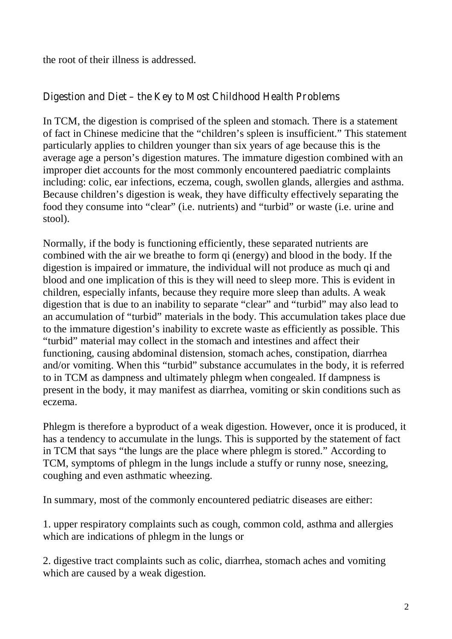the root of their illness is addressed.

## Digestion and Diet – the Key to Most Childhood Health Problems

In TCM, the digestion is comprised of the spleen and stomach. There is a statement of fact in Chinese medicine that the "children's spleen is insufficient." This statement particularly applies to children younger than six years of age because this is the average age a person's digestion matures. The immature digestion combined with an improper diet accounts for the most commonly encountered paediatric complaints including: colic, ear infections, eczema, cough, swollen glands, allergies and asthma. Because children's digestion is weak, they have difficulty effectively separating the food they consume into "clear" (i.e. nutrients) and "turbid" or waste (i.e. urine and stool).

Normally, if the body is functioning efficiently, these separated nutrients are combined with the air we breathe to form qi (energy) and blood in the body. If the digestion is impaired or immature, the individual will not produce as much qi and blood and one implication of this is they will need to sleep more. This is evident in children, especially infants, because they require more sleep than adults. A weak digestion that is due to an inability to separate "clear" and "turbid" may also lead to an accumulation of "turbid" materials in the body. This accumulation takes place due to the immature digestion's inability to excrete waste as efficiently as possible. This "turbid" material may collect in the stomach and intestines and affect their functioning, causing abdominal distension, stomach aches, constipation, diarrhea and/or vomiting. When this "turbid" substance accumulates in the body, it is referred to in TCM as dampness and ultimately phlegm when congealed. If dampness is present in the body, it may manifest as diarrhea, vomiting or skin conditions such as eczema.

Phlegm is therefore a byproduct of a weak digestion. However, once it is produced, it has a tendency to accumulate in the lungs. This is supported by the statement of fact in TCM that says "the lungs are the place where phlegm is stored." According to TCM, symptoms of phlegm in the lungs include a stuffy or runny nose, sneezing, coughing and even asthmatic wheezing.

In summary, most of the commonly encountered pediatric diseases are either:

1. upper respiratory complaints such as cough, common cold, asthma and allergies which are indications of phlegm in the lungs or

2. digestive tract complaints such as colic, diarrhea, stomach aches and vomiting which are caused by a weak digestion.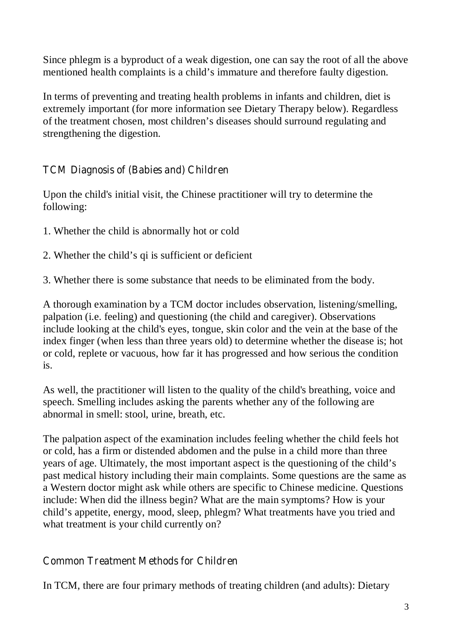Since phlegm is a byproduct of a weak digestion, one can say the root of all the above mentioned health complaints is a child's immature and therefore faulty digestion.

In terms of preventing and treating health problems in infants and children, diet is extremely important (for more information see Dietary Therapy below). Regardless of the treatment chosen, most children's diseases should surround regulating and strengthening the digestion.

## TCM Diagnosis of (Babies and) Children

Upon the child's initial visit, the Chinese practitioner will try to determine the following:

- 1. Whether the child is abnormally hot or cold
- 2. Whether the child's qi is sufficient or deficient
- 3. Whether there is some substance that needs to be eliminated from the body.

A thorough examination by a TCM doctor includes observation, listening/smelling, palpation (i.e. feeling) and questioning (the child and caregiver). Observations include looking at the child's eyes, tongue, skin color and the vein at the base of the index finger (when less than three years old) to determine whether the disease is; hot or cold, replete or vacuous, how far it has progressed and how serious the condition is.

As well, the practitioner will listen to the quality of the child's breathing, voice and speech. Smelling includes asking the parents whether any of the following are abnormal in smell: stool, urine, breath, etc.

The palpation aspect of the examination includes feeling whether the child feels hot or cold, has a firm or distended abdomen and the pulse in a child more than three years of age. Ultimately, the most important aspect is the questioning of the child's past medical history including their main complaints. Some questions are the same as a Western doctor might ask while others are specific to Chinese medicine. Questions include: When did the illness begin? What are the main symptoms? How is your child's appetite, energy, mood, sleep, phlegm? What treatments have you tried and what treatment is your child currently on?

#### Common Treatment Methods for Children

In TCM, there are four primary methods of treating children (and adults): Dietary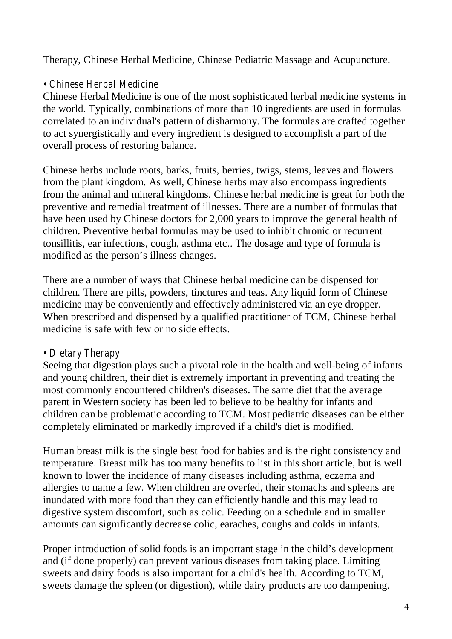Therapy, Chinese Herbal Medicine, Chinese Pediatric Massage and Acupuncture.

## *• Chinese Herbal Medicine*

Chinese Herbal Medicine is one of the most sophisticated herbal medicine systems in the world. Typically, combinations of more than 10 ingredients are used in formulas correlated to an individual's pattern of disharmony. The formulas are crafted together to act synergistically and every ingredient is designed to accomplish a part of the overall process of restoring balance.

Chinese herbs include roots, barks, fruits, berries, twigs, stems, leaves and flowers from the plant kingdom. As well, Chinese herbs may also encompass ingredients from the animal and mineral kingdoms. Chinese herbal medicine is great for both the preventive and remedial treatment of illnesses. There are a number of formulas that have been used by Chinese doctors for 2,000 years to improve the general health of children. Preventive herbal formulas may be used to inhibit chronic or recurrent tonsillitis, ear infections, cough, asthma etc.. The dosage and type of formula is modified as the person's illness changes.

There are a number of ways that Chinese herbal medicine can be dispensed for children. There are pills, powders, tinctures and teas. Any liquid form of Chinese medicine may be conveniently and effectively administered via an eye dropper. When prescribed and dispensed by a qualified practitioner of TCM, Chinese herbal medicine is safe with few or no side effects.

#### *• Dietary Therapy*

Seeing that digestion plays such a pivotal role in the health and well-being of infants and young children, their diet is extremely important in preventing and treating the most commonly encountered children's diseases. The same diet that the average parent in Western society has been led to believe to be healthy for infants and children can be problematic according to TCM. Most pediatric diseases can be either completely eliminated or markedly improved if a child's diet is modified.

Human breast milk is the single best food for babies and is the right consistency and temperature. Breast milk has too many benefits to list in this short article, but is well known to lower the incidence of many diseases including asthma, eczema and allergies to name a few. When children are overfed, their stomachs and spleens are inundated with more food than they can efficiently handle and this may lead to digestive system discomfort, such as colic. Feeding on a schedule and in smaller amounts can significantly decrease colic, earaches, coughs and colds in infants.

Proper introduction of solid foods is an important stage in the child's development and (if done properly) can prevent various diseases from taking place. Limiting sweets and dairy foods is also important for a child's health. According to TCM, sweets damage the spleen (or digestion), while dairy products are too dampening.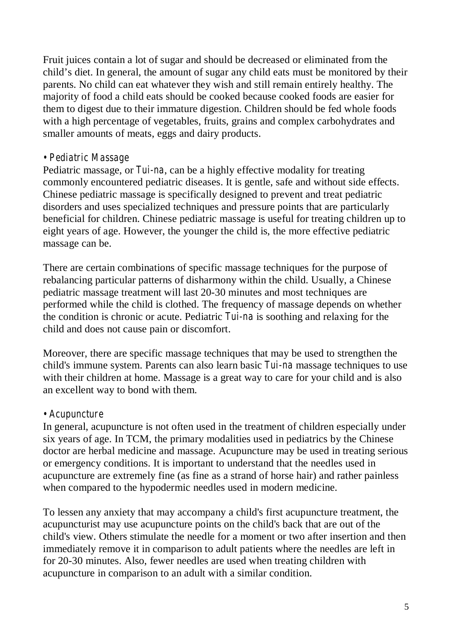Fruit juices contain a lot of sugar and should be decreased or eliminated from the child's diet. In general, the amount of sugar any child eats must be monitored by their parents. No child can eat whatever they wish and still remain entirely healthy. The majority of food a child eats should be cooked because cooked foods are easier for them to digest due to their immature digestion. Children should be fed whole foods with a high percentage of vegetables, fruits, grains and complex carbohydrates and smaller amounts of meats, eggs and dairy products.

## *• Pediatric Massage*

Pediatric massage, or **Tui-na**, can be a highly effective modality for treating commonly encountered pediatric diseases. It is gentle, safe and without side effects. Chinese pediatric massage is specifically designed to prevent and treat pediatric disorders and uses specialized techniques and pressure points that are particularly beneficial for children. Chinese pediatric massage is useful for treating children up to eight years of age. However, the younger the child is, the more effective pediatric massage can be.

There are certain combinations of specific massage techniques for the purpose of rebalancing particular patterns of disharmony within the child. Usually, a Chinese pediatric massage treatment will last 20-30 minutes and most techniques are performed while the child is clothed. The frequency of massage depends on whether the condition is chronic or acute. Pediatric *Tui-na* is soothing and relaxing for the child and does not cause pain or discomfort.

Moreover, there are specific massage techniques that may be used to strengthen the child's immune system. Parents can also learn basic *Tui-na* massage techniques to use with their children at home. Massage is a great way to care for your child and is also an excellent way to bond with them.

## *• Acupuncture*

In general, acupuncture is not often used in the treatment of children especially under six years of age. In TCM, the primary modalities used in pediatrics by the Chinese doctor are herbal medicine and massage. Acupuncture may be used in treating serious or emergency conditions. It is important to understand that the needles used in acupuncture are extremely fine (as fine as a strand of horse hair) and rather painless when compared to the hypodermic needles used in modern medicine.

To lessen any anxiety that may accompany a child's first acupuncture treatment, the acupuncturist may use acupuncture points on the child's back that are out of the child's view. Others stimulate the needle for a moment or two after insertion and then immediately remove it in comparison to adult patients where the needles are left in for 20-30 minutes. Also, fewer needles are used when treating children with acupuncture in comparison to an adult with a similar condition.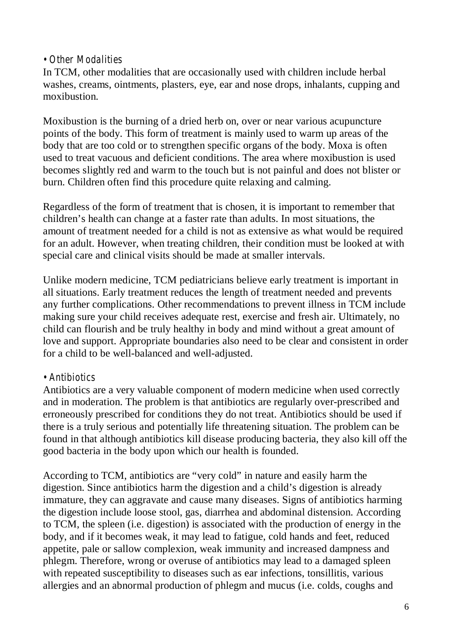#### *• Other Modalities*

In TCM, other modalities that are occasionally used with children include herbal washes, creams, ointments, plasters, eye, ear and nose drops, inhalants, cupping and moxibustion.

Moxibustion is the burning of a dried herb on, over or near various acupuncture points of the body. This form of treatment is mainly used to warm up areas of the body that are too cold or to strengthen specific organs of the body. Moxa is often used to treat vacuous and deficient conditions. The area where moxibustion is used becomes slightly red and warm to the touch but is not painful and does not blister or burn. Children often find this procedure quite relaxing and calming.

Regardless of the form of treatment that is chosen, it is important to remember that children's health can change at a faster rate than adults. In most situations, the amount of treatment needed for a child is not as extensive as what would be required for an adult. However, when treating children, their condition must be looked at with special care and clinical visits should be made at smaller intervals.

Unlike modern medicine, TCM pediatricians believe early treatment is important in all situations. Early treatment reduces the length of treatment needed and prevents any further complications. Other recommendations to prevent illness in TCM include making sure your child receives adequate rest, exercise and fresh air. Ultimately, no child can flourish and be truly healthy in body and mind without a great amount of love and support. Appropriate boundaries also need to be clear and consistent in order for a child to be well-balanced and well-adjusted.

#### *• Antibiotics*

Antibiotics are a very valuable component of modern medicine when used correctly and in moderation. The problem is that antibiotics are regularly over-prescribed and erroneously prescribed for conditions they do not treat. Antibiotics should be used if there is a truly serious and potentially life threatening situation. The problem can be found in that although antibiotics kill disease producing bacteria, they also kill off the good bacteria in the body upon which our health is founded.

According to TCM, antibiotics are "very cold" in nature and easily harm the digestion. Since antibiotics harm the digestion and a child's digestion is already immature, they can aggravate and cause many diseases. Signs of antibiotics harming the digestion include loose stool, gas, diarrhea and abdominal distension. According to TCM, the spleen (i.e. digestion) is associated with the production of energy in the body, and if it becomes weak, it may lead to fatigue, cold hands and feet, reduced appetite, pale or sallow complexion, weak immunity and increased dampness and phlegm. Therefore, wrong or overuse of antibiotics may lead to a damaged spleen with repeated susceptibility to diseases such as ear infections, tonsillitis, various allergies and an abnormal production of phlegm and mucus (i.e. colds, coughs and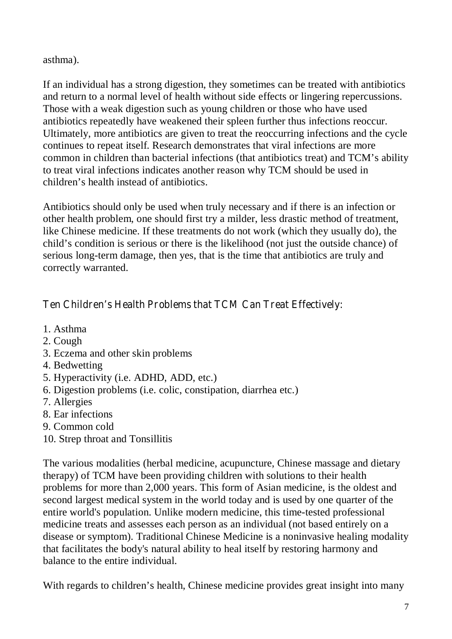asthma).

If an individual has a strong digestion, they sometimes can be treated with antibiotics and return to a normal level of health without side effects or lingering repercussions. Those with a weak digestion such as young children or those who have used antibiotics repeatedly have weakened their spleen further thus infections reoccur. Ultimately, more antibiotics are given to treat the reoccurring infections and the cycle continues to repeat itself. Research demonstrates that viral infections are more common in children than bacterial infections (that antibiotics treat) and TCM's ability to treat viral infections indicates another reason why TCM should be used in children's health instead of antibiotics.

Antibiotics should only be used when truly necessary and if there is an infection or other health problem, one should first try a milder, less drastic method of treatment, like Chinese medicine. If these treatments do not work (which they usually do), the child's condition is serious or there is the likelihood (not just the outside chance) of serious long-term damage, then yes, that is the time that antibiotics are truly and correctly warranted.

## Ten Children's Health Problems that TCM Can Treat Effectively:

- 1. Asthma
- 2. Cough
- 3. Eczema and other skin problems
- 4. Bedwetting
- 5. Hyperactivity (i.e. ADHD, ADD, etc.)
- 6. Digestion problems (i.e. colic, constipation, diarrhea etc.)
- 7. Allergies
- 8. Ear infections
- 9. Common cold
- 10. Strep throat and Tonsillitis

The various modalities (herbal medicine, acupuncture, Chinese massage and dietary therapy) of TCM have been providing children with solutions to their health problems for more than 2,000 years. This form of Asian medicine, is the oldest and second largest medical system in the world today and is used by one quarter of the entire world's population. Unlike modern medicine, this time-tested professional medicine treats and assesses each person as an individual (not based entirely on a disease or symptom). Traditional Chinese Medicine is a noninvasive healing modality that facilitates the body's natural ability to heal itself by restoring harmony and balance to the entire individual.

With regards to children's health, Chinese medicine provides great insight into many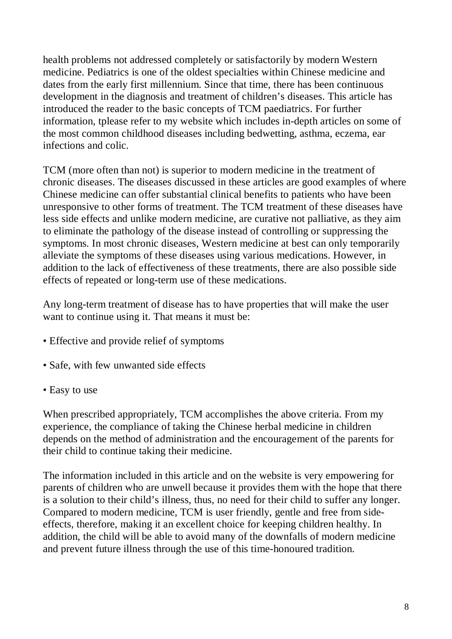health problems not addressed completely or satisfactorily by modern Western medicine. Pediatrics is one of the oldest specialties within Chinese medicine and dates from the early first millennium. Since that time, there has been continuous development in the diagnosis and treatment of children's diseases. This article has introduced the reader to the basic concepts of TCM paediatrics. For further information, tplease refer to my website which includes in-depth articles on some of the most common childhood diseases including bedwetting, asthma, eczema, ear infections and colic.

TCM (more often than not) is superior to modern medicine in the treatment of chronic diseases. The diseases discussed in these articles are good examples of where Chinese medicine can offer substantial clinical benefits to patients who have been unresponsive to other forms of treatment. The TCM treatment of these diseases have less side effects and unlike modern medicine, are curative not palliative, as they aim to eliminate the pathology of the disease instead of controlling or suppressing the symptoms. In most chronic diseases, Western medicine at best can only temporarily alleviate the symptoms of these diseases using various medications. However, in addition to the lack of effectiveness of these treatments, there are also possible side effects of repeated or long-term use of these medications.

Any long-term treatment of disease has to have properties that will make the user want to continue using it. That means it must be:

- Effective and provide relief of symptoms
- Safe, with few unwanted side effects
- Easy to use

When prescribed appropriately, TCM accomplishes the above criteria. From my experience, the compliance of taking the Chinese herbal medicine in children depends on the method of administration and the encouragement of the parents for their child to continue taking their medicine.

The information included in this article and on the website is very empowering for parents of children who are unwell because it provides them with the hope that there is a solution to their child's illness, thus, no need for their child to suffer any longer. Compared to modern medicine, TCM is user friendly, gentle and free from sideeffects, therefore, making it an excellent choice for keeping children healthy. In addition, the child will be able to avoid many of the downfalls of modern medicine and prevent future illness through the use of this time-honoured tradition.